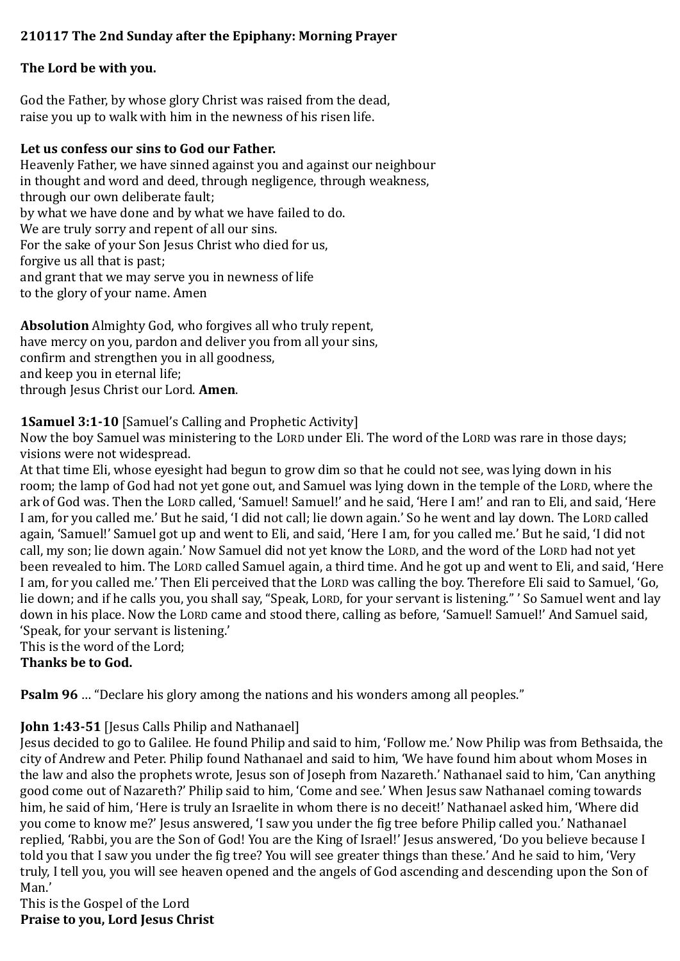# **210117 The 2nd Sunday after the Epiphany: Morning Prayer**

#### **The Lord be with you.**

God the Father, by whose glory Christ was raised from the dead, raise you up to walk with him in the newness of his risen life.

#### **Let us confess our sins to God our Father.**

Heavenly Father, we have sinned against you and against our neighbour in thought and word and deed, through negligence, through weakness, through our own deliberate fault; by what we have done and by what we have failed to do. We are truly sorry and repent of all our sins. For the sake of your Son Jesus Christ who died for us, forgive us all that is past; and grant that we may serve you in newness of life to the glory of your name. Amen

**Absolution** Almighty God, who forgives all who truly repent, have mercy on you, pardon and deliver you from all your sins, confirm and strengthen you in all goodness, and keep you in eternal life; through Jesus Christ our Lord. **Amen**.

## **1Samuel 3:1-10** [Samuel's Calling and Prophetic Activity]

Now the boy Samuel was ministering to the LORD under Eli. The word of the LORD was rare in those days; visions were not widespread.

At that time Eli, whose eyesight had begun to grow dim so that he could not see, was lying down in his room; the lamp of God had not yet gone out, and Samuel was lying down in the temple of the LORD, where the ark of God was. Then the LORD called, 'Samuel! Samuel!' and he said, 'Here I am!' and ran to Eli, and said, 'Here I am, for you called me.' But he said, 'I did not call; lie down again.' So he went and lay down. The LORD called again, 'Samuel!' Samuel got up and went to Eli, and said, 'Here I am, for you called me.' But he said, 'I did not call, my son; lie down again.' Now Samuel did not yet know the LORD, and the word of the LORD had not yet been revealed to him. The LORD called Samuel again, a third time. And he got up and went to Eli, and said, 'Here I am, for you called me.' Then Eli perceived that the LORD was calling the boy. Therefore Eli said to Samuel, 'Go, lie down; and if he calls you, you shall say, "Speak, LORD, for your servant is listening." ' So Samuel went and lay down in his place. Now the LORD came and stood there, calling as before, 'Samuel! Samuel!' And Samuel said, 'Speak, for your servant is listening.'

This is the word of the Lord;

**Thanks be to God.**

**Psalm 96** … "Declare his glory among the nations and his wonders among all peoples."

## **John 1:43-51** [Jesus Calls Philip and Nathanael]

Jesus decided to go to Galilee. He found Philip and said to him, 'Follow me.' Now Philip was from Bethsaida, the city of Andrew and Peter. Philip found Nathanael and said to him, 'We have found him about whom Moses in the law and also the prophets wrote, Jesus son of Joseph from Nazareth.' Nathanael said to him, 'Can anything good come out of Nazareth?' Philip said to him, 'Come and see.' When Jesus saw Nathanael coming towards him, he said of him, 'Here is truly an Israelite in whom there is no deceit!' Nathanael asked him, 'Where did you come to know me?' Jesus answered, 'I saw you under the fig tree before Philip called you.' Nathanael replied, 'Rabbi, you are the Son of God! You are the King of Israel!' Jesus answered, 'Do you believe because I told you that I saw you under the fig tree? You will see greater things than these.' And he said to him, 'Very truly, I tell you, you will see heaven opened and the angels of God ascending and descending upon the Son of Man.'

This is the Gospel of the Lord **Praise to you, Lord Jesus Christ**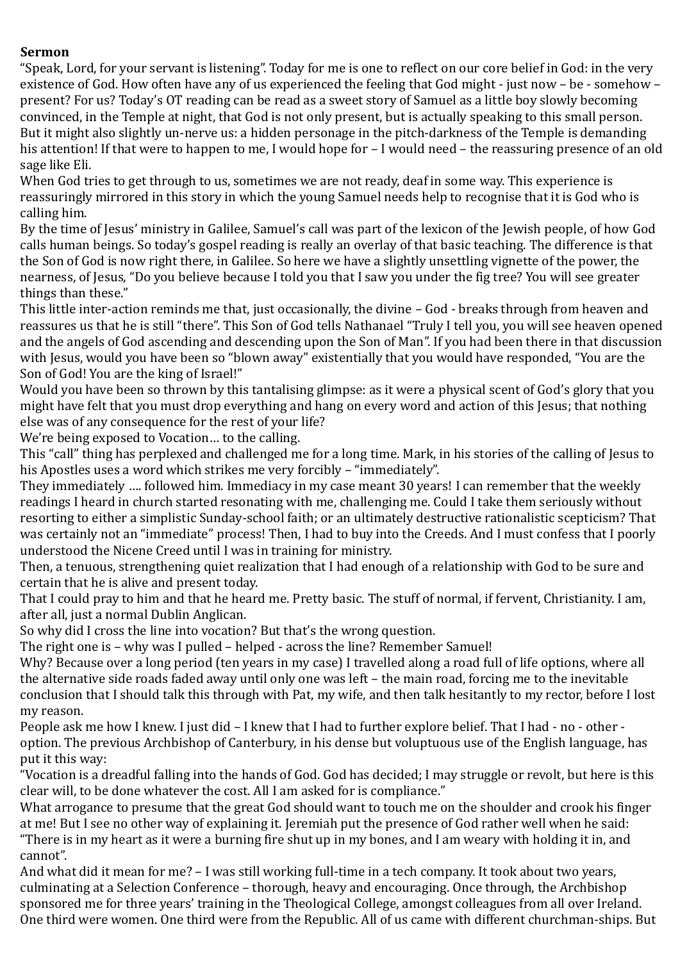#### **Sermon**

"Speak, Lord, for your servant is listening". Today for me is one to reflect on our core belief in God: in the very existence of God. How often have any of us experienced the feeling that God might - just now – be - somehow – present? For us? Today's OT reading can be read as a sweet story of Samuel as a little boy slowly becoming convinced, in the Temple at night, that God is not only present, but is actually speaking to this small person. But it might also slightly un-nerve us: a hidden personage in the pitch-darkness of the Temple is demanding his attention! If that were to happen to me, I would hope for – I would need – the reassuring presence of an old sage like Eli.

When God tries to get through to us, sometimes we are not ready, deaf in some way. This experience is reassuringly mirrored in this story in which the young Samuel needs help to recognise that it is God who is calling him.

By the time of Jesus' ministry in Galilee, Samuel's call was part of the lexicon of the Jewish people, of how God calls human beings. So today's gospel reading is really an overlay of that basic teaching. The difference is that the Son of God is now right there, in Galilee. So here we have a slightly unsettling vignette of the power, the nearness, of Jesus, "Do you believe because I told you that I saw you under the fig tree? You will see greater things than these."

This little inter-action reminds me that, just occasionally, the divine – God - breaks through from heaven and reassures us that he is still "there". This Son of God tells Nathanael "Truly I tell you, you will see heaven opened and the angels of God ascending and descending upon the Son of Man". If you had been there in that discussion with Jesus, would you have been so "blown away" existentially that you would have responded, "You are the Son of God! You are the king of Israel!"

Would you have been so thrown by this tantalising glimpse: as it were a physical scent of God's glory that you might have felt that you must drop everything and hang on every word and action of this Jesus; that nothing else was of any consequence for the rest of your life?

We're being exposed to Vocation… to the calling.

This "call" thing has perplexed and challenged me for a long time. Mark, in his stories of the calling of Jesus to his Apostles uses a word which strikes me very forcibly – "immediately".

They immediately …. followed him. Immediacy in my case meant 30 years! I can remember that the weekly readings I heard in church started resonating with me, challenging me. Could I take them seriously without resorting to either a simplistic Sunday-school faith; or an ultimately destructive rationalistic scepticism? That was certainly not an "immediate" process! Then, I had to buy into the Creeds. And I must confess that I poorly understood the Nicene Creed until I was in training for ministry.

Then, a tenuous, strengthening quiet realization that I had enough of a relationship with God to be sure and certain that he is alive and present today.

That I could pray to him and that he heard me. Pretty basic. The stuff of normal, if fervent, Christianity. I am, after all, just a normal Dublin Anglican.

So why did I cross the line into vocation? But that's the wrong question.

The right one is – why was I pulled – helped - across the line? Remember Samuel!

Why? Because over a long period (ten years in my case) I travelled along a road full of life options, where all the alternative side roads faded away until only one was left – the main road, forcing me to the inevitable conclusion that I should talk this through with Pat, my wife, and then talk hesitantly to my rector, before I lost my reason.

People ask me how I knew. I just did – I knew that I had to further explore belief. That I had - no - other option. The previous Archbishop of Canterbury, in his dense but voluptuous use of the English language, has put it this way:

"Vocation is a dreadful falling into the hands of God. God has decided; I may struggle or revolt, but here is this clear will, to be done whatever the cost. All I am asked for is compliance."

What arrogance to presume that the great God should want to touch me on the shoulder and crook his finger at me! But I see no other way of explaining it. Jeremiah put the presence of God rather well when he said: "There is in my heart as it were a burning fire shut up in my bones, and I am weary with holding it in, and cannot".

And what did it mean for me? – I was still working full-time in a tech company. It took about two years, culminating at a Selection Conference – thorough, heavy and encouraging. Once through, the Archbishop sponsored me for three years' training in the Theological College, amongst colleagues from all over Ireland. One third were women. One third were from the Republic. All of us came with different churchman-ships. But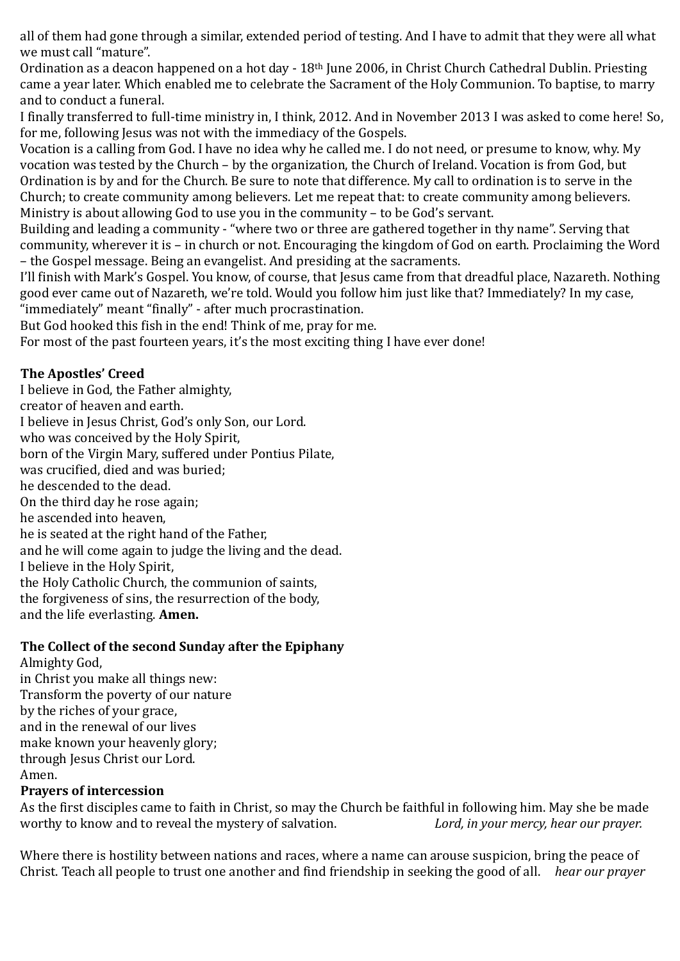all of them had gone through a similar, extended period of testing. And I have to admit that they were all what we must call "mature".

Ordination as a deacon happened on a hot day - 18<sup>th</sup> June 2006, in Christ Church Cathedral Dublin. Priesting came a year later. Which enabled me to celebrate the Sacrament of the Holy Communion. To baptise, to marry and to conduct a funeral.

I finally transferred to full-time ministry in, I think, 2012. And in November 2013 I was asked to come here! So, for me, following Jesus was not with the immediacy of the Gospels.

Vocation is a calling from God. I have no idea why he called me. I do not need, or presume to know, why. My vocation was tested by the Church – by the organization, the Church of Ireland. Vocation is from God, but Ordination is by and for the Church. Be sure to note that difference. My call to ordination is to serve in the Church; to create community among believers. Let me repeat that: to create community among believers. Ministry is about allowing God to use you in the community – to be God's servant.

Building and leading a community - "where two or three are gathered together in thy name". Serving that community, wherever it is – in church or not. Encouraging the kingdom of God on earth. Proclaiming the Word – the Gospel message. Being an evangelist. And presiding at the sacraments.

I'll finish with Mark's Gospel. You know, of course, that Jesus came from that dreadful place, Nazareth. Nothing good ever came out of Nazareth, we're told. Would you follow him just like that? Immediately? In my case, "immediately" meant "finally" - after much procrastination.

But God hooked this fish in the end! Think of me, pray for me.

For most of the past fourteen years, it's the most exciting thing I have ever done!

## **The Apostles' Creed**

I believe in God, the Father almighty, creator of heaven and earth. I believe in Jesus Christ, God's only Son, our Lord. who was conceived by the Holy Spirit, born of the Virgin Mary, suffered under Pontius Pilate, was crucified, died and was buried; he descended to the dead. On the third day he rose again; he ascended into heaven, he is seated at the right hand of the Father, and he will come again to judge the living and the dead. I believe in the Holy Spirit, the Holy Catholic Church, the communion of saints, the forgiveness of sins, the resurrection of the body, and the life everlasting. **Amen.** 

## **The Collect of the second Sunday after the Epiphany**

Almighty God, in Christ you make all things new: Transform the poverty of our nature by the riches of your grace, and in the renewal of our lives make known your heavenly glory; through Jesus Christ our Lord. Amen.

## **Prayers of intercession**

As the first disciples came to faith in Christ, so may the Church be faithful in following him. May she be made worthy to know and to reveal the mystery of salvation. *Lord, in your mercy, hear our prayer.*

Where there is hostility between nations and races, where a name can arouse suspicion, bring the peace of Christ. Teach all people to trust one another and find friendship in seeking the good of all. *hear our prayer*